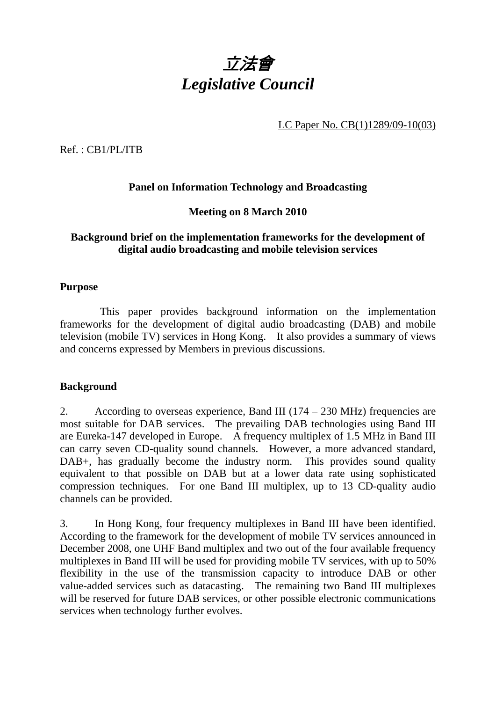

LC Paper No. CB(1)1289/09-10(03)

Ref. : CB1/PL/ITB

## **Panel on Information Technology and Broadcasting**

### **Meeting on 8 March 2010**

## **Background brief on the implementation frameworks for the development of digital audio broadcasting and mobile television services**

### **Purpose**

1. This paper provides background information on the implementation frameworks for the development of digital audio broadcasting (DAB) and mobile television (mobile TV) services in Hong Kong. It also provides a summary of views and concerns expressed by Members in previous discussions.

#### **Background**

2. According to overseas experience, Band III (174 – 230 MHz) frequencies are most suitable for DAB services. The prevailing DAB technologies using Band III are Eureka-147 developed in Europe. A frequency multiplex of 1.5 MHz in Band III can carry seven CD-quality sound channels. However, a more advanced standard, DAB<sup>+</sup>, has gradually become the industry norm. This provides sound quality equivalent to that possible on DAB but at a lower data rate using sophisticated compression techniques. For one Band III multiplex, up to 13 CD-quality audio channels can be provided.

3. In Hong Kong, four frequency multiplexes in Band III have been identified. According to the framework for the development of mobile TV services announced in December 2008, one UHF Band multiplex and two out of the four available frequency multiplexes in Band III will be used for providing mobile TV services, with up to 50% flexibility in the use of the transmission capacity to introduce DAB or other value-added services such as datacasting. The remaining two Band III multiplexes will be reserved for future DAB services, or other possible electronic communications services when technology further evolves.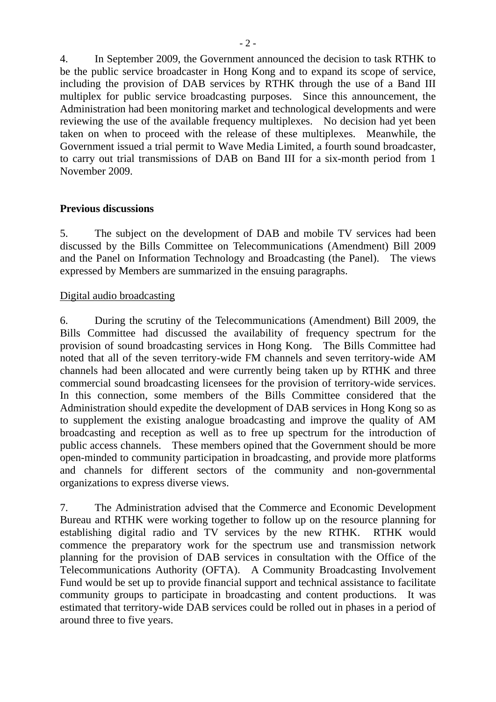4. In September 2009, the Government announced the decision to task RTHK to be the public service broadcaster in Hong Kong and to expand its scope of service, including the provision of DAB services by RTHK through the use of a Band III multiplex for public service broadcasting purposes. Since this announcement, the Administration had been monitoring market and technological developments and were reviewing the use of the available frequency multiplexes. No decision had yet been taken on when to proceed with the release of these multiplexes. Meanwhile, the Government issued a trial permit to Wave Media Limited, a fourth sound broadcaster, to carry out trial transmissions of DAB on Band III for a six-month period from 1 November 2009.

### **Previous discussions**

5. The subject on the development of DAB and mobile TV services had been discussed by the Bills Committee on Telecommunications (Amendment) Bill 2009 and the Panel on Information Technology and Broadcasting (the Panel). The views expressed by Members are summarized in the ensuing paragraphs.

### Digital audio broadcasting

6. During the scrutiny of the Telecommunications (Amendment) Bill 2009, the Bills Committee had discussed the availability of frequency spectrum for the provision of sound broadcasting services in Hong Kong. The Bills Committee had noted that all of the seven territory-wide FM channels and seven territory-wide AM channels had been allocated and were currently being taken up by RTHK and three commercial sound broadcasting licensees for the provision of territory-wide services. In this connection, some members of the Bills Committee considered that the Administration should expedite the development of DAB services in Hong Kong so as to supplement the existing analogue broadcasting and improve the quality of AM broadcasting and reception as well as to free up spectrum for the introduction of public access channels. These members opined that the Government should be more open-minded to community participation in broadcasting, and provide more platforms and channels for different sectors of the community and non-governmental organizations to express diverse views.

7. The Administration advised that the Commerce and Economic Development Bureau and RTHK were working together to follow up on the resource planning for establishing digital radio and TV services by the new RTHK. RTHK would commence the preparatory work for the spectrum use and transmission network planning for the provision of DAB services in consultation with the Office of the Telecommunications Authority (OFTA). A Community Broadcasting Involvement Fund would be set up to provide financial support and technical assistance to facilitate community groups to participate in broadcasting and content productions. It was estimated that territory-wide DAB services could be rolled out in phases in a period of around three to five years.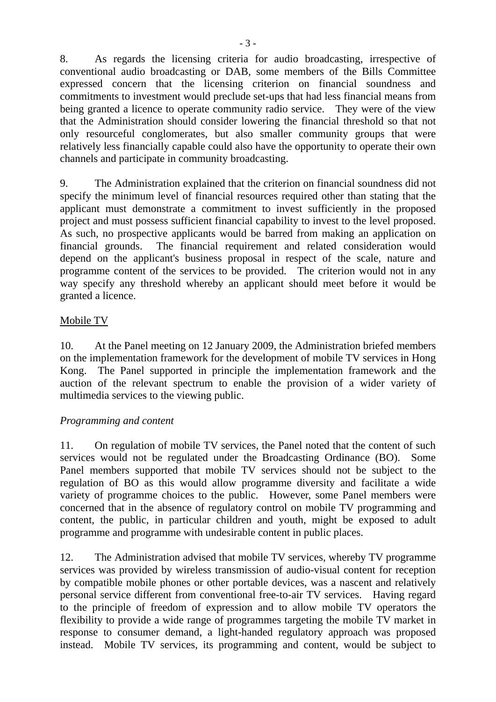8. As regards the licensing criteria for audio broadcasting, irrespective of conventional audio broadcasting or DAB, some members of the Bills Committee expressed concern that the licensing criterion on financial soundness and commitments to investment would preclude set-ups that had less financial means from being granted a licence to operate community radio service. They were of the view that the Administration should consider lowering the financial threshold so that not only resourceful conglomerates, but also smaller community groups that were relatively less financially capable could also have the opportunity to operate their own channels and participate in community broadcasting.

9. The Administration explained that the criterion on financial soundness did not specify the minimum level of financial resources required other than stating that the applicant must demonstrate a commitment to invest sufficiently in the proposed project and must possess sufficient financial capability to invest to the level proposed. As such, no prospective applicants would be barred from making an application on financial grounds. The financial requirement and related consideration would depend on the applicant's business proposal in respect of the scale, nature and programme content of the services to be provided. The criterion would not in any way specify any threshold whereby an applicant should meet before it would be granted a licence.

# Mobile TV

10. At the Panel meeting on 12 January 2009, the Administration briefed members on the implementation framework for the development of mobile TV services in Hong Kong. The Panel supported in principle the implementation framework and the auction of the relevant spectrum to enable the provision of a wider variety of multimedia services to the viewing public.

## *Programming and content*

11. On regulation of mobile TV services, the Panel noted that the content of such services would not be regulated under the Broadcasting Ordinance (BO). Some Panel members supported that mobile TV services should not be subject to the regulation of BO as this would allow programme diversity and facilitate a wide variety of programme choices to the public. However, some Panel members were concerned that in the absence of regulatory control on mobile TV programming and content, the public, in particular children and youth, might be exposed to adult programme and programme with undesirable content in public places.

12. The Administration advised that mobile TV services, whereby TV programme services was provided by wireless transmission of audio-visual content for reception by compatible mobile phones or other portable devices, was a nascent and relatively personal service different from conventional free-to-air TV services. Having regard to the principle of freedom of expression and to allow mobile TV operators the flexibility to provide a wide range of programmes targeting the mobile TV market in response to consumer demand, a light-handed regulatory approach was proposed instead. Mobile TV services, its programming and content, would be subject to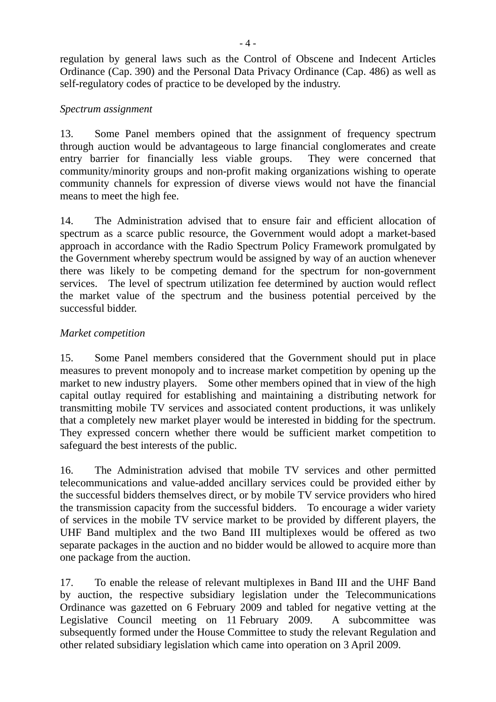regulation by general laws such as the Control of Obscene and Indecent Articles Ordinance (Cap. 390) and the Personal Data Privacy Ordinance (Cap. 486) as well as self-regulatory codes of practice to be developed by the industry.

## *Spectrum assignment*

13. Some Panel members opined that the assignment of frequency spectrum through auction would be advantageous to large financial conglomerates and create entry barrier for financially less viable groups. They were concerned that community/minority groups and non-profit making organizations wishing to operate community channels for expression of diverse views would not have the financial means to meet the high fee.

14. The Administration advised that to ensure fair and efficient allocation of spectrum as a scarce public resource, the Government would adopt a market-based approach in accordance with the Radio Spectrum Policy Framework promulgated by the Government whereby spectrum would be assigned by way of an auction whenever there was likely to be competing demand for the spectrum for non-government services. The level of spectrum utilization fee determined by auction would reflect the market value of the spectrum and the business potential perceived by the successful bidder.

# *Market competition*

15. Some Panel members considered that the Government should put in place measures to prevent monopoly and to increase market competition by opening up the market to new industry players. Some other members opined that in view of the high capital outlay required for establishing and maintaining a distributing network for transmitting mobile TV services and associated content productions, it was unlikely that a completely new market player would be interested in bidding for the spectrum. They expressed concern whether there would be sufficient market competition to safeguard the best interests of the public.

16. The Administration advised that mobile TV services and other permitted telecommunications and value-added ancillary services could be provided either by the successful bidders themselves direct, or by mobile TV service providers who hired the transmission capacity from the successful bidders. To encourage a wider variety of services in the mobile TV service market to be provided by different players, the UHF Band multiplex and the two Band III multiplexes would be offered as two separate packages in the auction and no bidder would be allowed to acquire more than one package from the auction.

17. To enable the release of relevant multiplexes in Band III and the UHF Band by auction, the respective subsidiary legislation under the Telecommunications Ordinance was gazetted on 6 February 2009 and tabled for negative vetting at the Legislative Council meeting on 11 February 2009. A subcommittee was subsequently formed under the House Committee to study the relevant Regulation and other related subsidiary legislation which came into operation on 3 April 2009.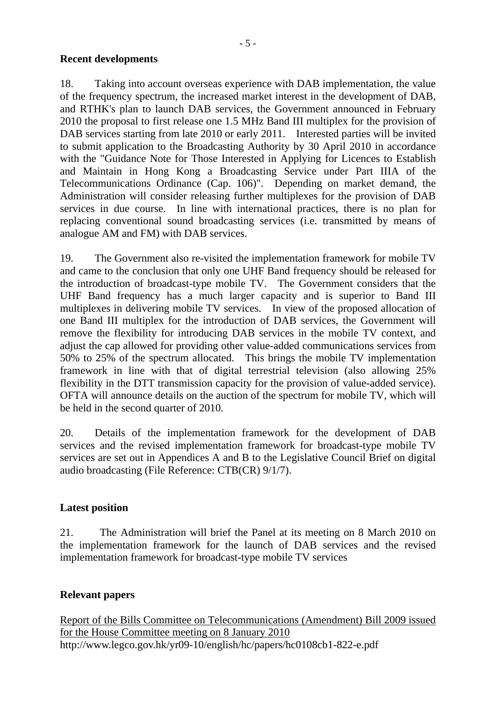### **Recent developments**

18. Taking into account overseas experience with DAB implementation, the value of the frequency spectrum, the increased market interest in the development of DAB, and RTHK's plan to launch DAB services, the Government announced in February 2010 the proposal to first release one 1.5 MHz Band III multiplex for the provision of DAB services starting from late 2010 or early 2011. Interested parties will be invited to submit application to the Broadcasting Authority by 30 April 2010 in accordance with the "Guidance Note for Those Interested in Applying for Licences to Establish and Maintain in Hong Kong a Broadcasting Service under Part IIIA of the Telecommunications Ordinance (Cap. 106)". Depending on market demand, the Administration will consider releasing further multiplexes for the provision of DAB services in due course. In line with international practices, there is no plan for replacing conventional sound broadcasting services (i.e. transmitted by means of analogue AM and FM) with DAB services.

19. The Government also re-visited the implementation framework for mobile TV and came to the conclusion that only one UHF Band frequency should be released for the introduction of broadcast-type mobile TV. The Government considers that the UHF Band frequency has a much larger capacity and is superior to Band III multiplexes in delivering mobile TV services. In view of the proposed allocation of one Band III multiplex for the introduction of DAB services, the Government will remove the flexibility for introducing DAB services in the mobile TV context, and adjust the cap allowed for providing other value-added communications services from 50% to 25% of the spectrum allocated. This brings the mobile TV implementation framework in line with that of digital terrestrial television (also allowing 25% flexibility in the DTT transmission capacity for the provision of value-added service). OFTA will announce details on the auction of the spectrum for mobile TV, which will be held in the second quarter of 2010.

20. Details of the implementation framework for the development of DAB services and the revised implementation framework for broadcast-type mobile TV services are set out in Appendices A and B to the Legislative Council Brief on digital audio broadcasting (File Reference: CTB(CR) 9/1/7).

#### **Latest position**

21. The Administration will brief the Panel at its meeting on 8 March 2010 on the implementation framework for the launch of DAB services and the revised implementation framework for broadcast-type mobile TV services

## **Relevant papers**

Report of the Bills Committee on Telecommunications (Amendment) Bill 2009 issued for the House Committee meeting on 8 January 2010 http://www.legco.gov.hk/yr09-10/english/hc/papers/hc0108cb1-822-e.pdf